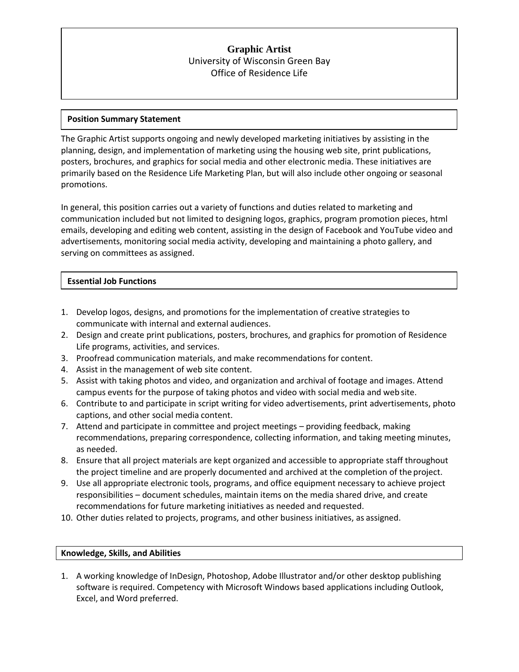# **Graphic Artist** University of Wisconsin Green Bay Office of Residence Life

## **Position Summary Statement**

The Graphic Artist supports ongoing and newly developed marketing initiatives by assisting in the planning, design, and implementation of marketing using the housing web site, print publications, posters, brochures, and graphics for social media and other electronic media. These initiatives are primarily based on the Residence Life Marketing Plan, but will also include other ongoing or seasonal promotions.

In general, this position carries out a variety of functions and duties related to marketing and communication included but not limited to designing logos, graphics, program promotion pieces, html emails, developing and editing web content, assisting in the design of Facebook and YouTube video and advertisements, monitoring social media activity, developing and maintaining a photo gallery, and serving on committees as assigned.

## **Essential Job Functions**

- 1. Develop logos, designs, and promotions for the implementation of creative strategies to communicate with internal and external audiences.
- 2. Design and create print publications, posters, brochures, and graphics for promotion of Residence Life programs, activities, and services.
- 3. Proofread communication materials, and make recommendations for content.
- 4. Assist in the management of web site content.
- 5. Assist with taking photos and video, and organization and archival of footage and images. Attend campus events for the purpose of taking photos and video with social media and web site.
- 6. Contribute to and participate in script writing for video advertisements, print advertisements, photo captions, and other social media content.
- 7. Attend and participate in committee and project meetings providing feedback, making recommendations, preparing correspondence, collecting information, and taking meeting minutes, as needed.
- 8. Ensure that all project materials are kept organized and accessible to appropriate staff throughout the project timeline and are properly documented and archived at the completion of the project.
- 9. Use all appropriate electronic tools, programs, and office equipment necessary to achieve project responsibilities – document schedules, maintain items on the media shared drive, and create recommendations for future marketing initiatives as needed and requested.
- 10. Other duties related to projects, programs, and other business initiatives, as assigned.

### **Knowledge, Skills, and Abilities**

1. A working knowledge of InDesign, Photoshop, Adobe Illustrator and/or other desktop publishing software is required. Competency with Microsoft Windows based applications including Outlook, Excel, and Word preferred.